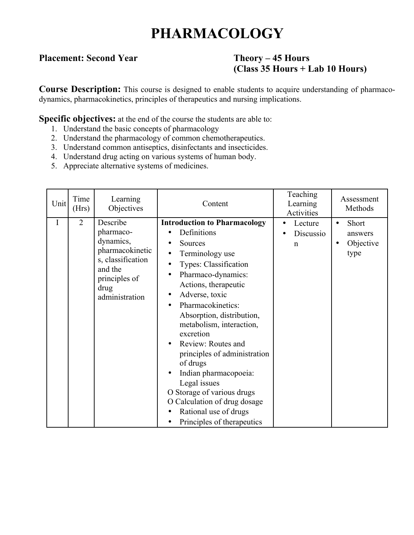## **PHARMACOLOGY**

### **Placement: Second Year Theory – 45 Hours**

# **(Class 35 Hours + Lab 10 Hours)**

**Course Description:** This course is designed to enable students to acquire understanding of pharmacodynamics, pharmacokinetics, principles of therapeutics and nursing implications.

**Specific objectives:** at the end of the course the students are able to:

- 1. Understand the basic concepts of pharmacology
- 2. Understand the pharmacology of common chemotherapeutics.
- 3. Understand common antiseptics, disinfectants and insecticides.
- 4. Understand drug acting on various systems of human body.
- 5. Appreciate alternative systems of medicines.

| Unit | Time<br>(Hrs)  | Learning<br>Objectives                                                                                                           | Content                                                                                                                                                                                                                                                                                                                                                                                                                                                                                                                                                  | Teaching<br>Learning<br>Activities   | Assessment<br>Methods                                           |
|------|----------------|----------------------------------------------------------------------------------------------------------------------------------|----------------------------------------------------------------------------------------------------------------------------------------------------------------------------------------------------------------------------------------------------------------------------------------------------------------------------------------------------------------------------------------------------------------------------------------------------------------------------------------------------------------------------------------------------------|--------------------------------------|-----------------------------------------------------------------|
| I    | $\overline{2}$ | Describe<br>pharmaco-<br>dynamics,<br>pharmacokinetic<br>s, classification<br>and the<br>principles of<br>drug<br>administration | <b>Introduction to Pharmacology</b><br>Definitions<br>Sources<br>Terminology use<br>$\bullet$<br>Types: Classification<br>Pharmaco-dynamics:<br>$\bullet$<br>Actions, therapeutic<br>Adverse, toxic<br>$\bullet$<br>Pharmacokinetics:<br>$\bullet$<br>Absorption, distribution,<br>metabolism, interaction,<br>excretion<br>Review: Routes and<br>principles of administration<br>of drugs<br>Indian pharmacopoeia:<br>Legal issues<br>O Storage of various drugs<br>O Calculation of drug dosage<br>Rational use of drugs<br>Principles of therapeutics | Lecture<br>Discussio<br>$\mathsf{n}$ | Short<br>$\bullet$<br>answers<br>Objective<br>$\bullet$<br>type |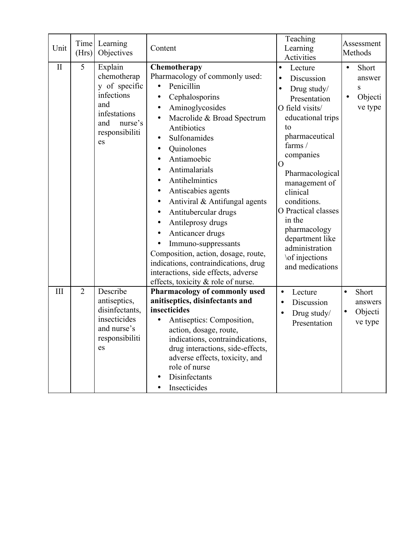| Unit         | Time<br>(Hrs)  | Learning<br>Objectives                                                                                                 | Content                                                                                                                                                                                                                                                                                                                                                                                                                                                                                                                                                                                                    | Teaching<br>Learning<br>Activities                                                                                                                                                                                                                                                                                                                                                 | Assessment<br>Methods                                            |
|--------------|----------------|------------------------------------------------------------------------------------------------------------------------|------------------------------------------------------------------------------------------------------------------------------------------------------------------------------------------------------------------------------------------------------------------------------------------------------------------------------------------------------------------------------------------------------------------------------------------------------------------------------------------------------------------------------------------------------------------------------------------------------------|------------------------------------------------------------------------------------------------------------------------------------------------------------------------------------------------------------------------------------------------------------------------------------------------------------------------------------------------------------------------------------|------------------------------------------------------------------|
| $\mathbf{I}$ | 5              | Explain<br>chemotherap<br>y of specific<br>infections<br>and<br>infestations<br>nurse's<br>and<br>responsibiliti<br>es | Chemotherapy<br>Pharmacology of commonly used:<br>Penicillin<br>Cephalosporins<br>$\bullet$<br>Aminoglycosides<br>$\bullet$<br>Macrolide & Broad Spectrum<br>$\bullet$<br>Antibiotics<br>Sulfonamides<br>Quinolones<br>$\bullet$<br>Antiamoebic<br>Antimalarials<br>Antihelmintics<br>Antiscabies agents<br>Antiviral & Antifungal agents<br>$\bullet$<br>Antitubercular drugs<br>Antileprosy drugs<br>Anticancer drugs<br>Immuno-suppressants<br>Composition, action, dosage, route,<br>indications, contraindications, drug<br>interactions, side effects, adverse<br>effects, toxicity & role of nurse. | Lecture<br>$\bullet$<br>Discussion<br>$\bullet$<br>Drug study/<br>$\bullet$<br>Presentation<br>O field visits/<br>educational trips<br>to<br>pharmaceutical<br>farms /<br>companies<br>O<br>Pharmacological<br>management of<br>clinical<br>conditions.<br>O Practical classes<br>in the<br>pharmacology<br>department like<br>administration<br>\of injections<br>and medications | Short<br>$\bullet$<br>answer<br>S<br>Objecti<br>٠<br>ve type     |
| III          | $\overline{2}$ | Describe<br>antiseptics,<br>disinfectants,<br>insecticides<br>and nurse's<br>responsibiliti<br>es                      | Pharmacology of commonly used<br>anitiseptics, disinfectants and<br>insecticides<br>Antiseptics: Composition,<br>action, dosage, route,<br>indications, contraindications,<br>drug interactions, side-effects,<br>adverse effects, toxicity, and<br>role of nurse<br>Disinfectants<br>Insecticides                                                                                                                                                                                                                                                                                                         | Lecture<br>$\bullet$<br>Discussion<br>$\bullet$<br>Drug study/<br>Presentation                                                                                                                                                                                                                                                                                                     | Short<br>$\bullet$<br>answers<br>Objecti<br>$\bullet$<br>ve type |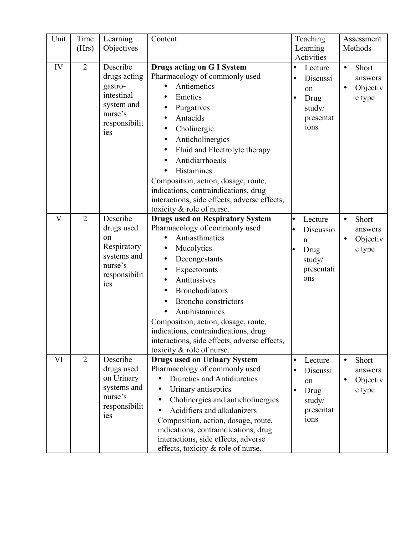| Unit                    | Time<br>(Hrs)  | Learning<br>Objectives                                                                             | Content                                                                                                                                                                                                                                                                                                                                                                                                                        |                                     | Teaching<br>Learning<br>Activities                                         |           | Assessment<br>Methods                  |
|-------------------------|----------------|----------------------------------------------------------------------------------------------------|--------------------------------------------------------------------------------------------------------------------------------------------------------------------------------------------------------------------------------------------------------------------------------------------------------------------------------------------------------------------------------------------------------------------------------|-------------------------------------|----------------------------------------------------------------------------|-----------|----------------------------------------|
| IV                      | $\overline{2}$ | Describe<br>drugs acting<br>gastro-<br>intestinal<br>system and<br>nurse's<br>responsibilit<br>ies | <b>Drugs acting on G I System</b><br>Pharmacology of commonly used<br>Antiemetics<br>Emetics<br>Purgatives<br>$\bullet$<br>Antacids<br>Cholinergic<br>$\bullet$<br>Anticholinergics<br>$\bullet$<br>Fluid and Electrolyte therapy<br>Antidiarrhoeals<br>Histamines<br>Composition, action, dosage, route,<br>indications, contraindications, drug<br>interactions, side effects, adverse effects,<br>toxicity & role of nurse. | $\bullet$<br>$\bullet$              | Lecture<br>Discussi<br>on<br>Drug<br>study/<br>presentat<br>ions           | $\bullet$ | Short<br>answers<br>Objectiv<br>e type |
| $\overline{\mathsf{V}}$ | $\overline{2}$ | Describe<br>drugs used<br>on<br>Respiratory<br>systems and<br>nurse's<br>responsibilit<br>ies      | <b>Drugs used on Respiratory System</b><br>Pharmacology of commonly used<br>Antiasthmatics<br>Mucolytics<br>Decongestants<br>$\bullet$<br>Expectorants<br>$\bullet$<br>Antitussives<br><b>Bronchodilators</b><br><b>Broncho</b> constrictors<br>Antihistamines<br>Composition, action, dosage, route,<br>indications, contraindications, drug<br>interactions, side effects, adverse effects,<br>toxicity & role of nurse.     |                                     | Lecture<br>Discussio<br>$\mathbf n$<br>Drug<br>study/<br>presentati<br>ons | $\bullet$ | Short<br>answers<br>Objectiv<br>e type |
| VI                      | 2              | Describe<br>drugs used<br>on Urinary<br>systems and<br>nurse's<br>responsibilit<br>ies             | <b>Drugs used on Urinary System</b><br>Pharmacology of commonly used<br>Diuretics and Antidiuretics<br>Urinary antiseptics<br>Cholinergics and anticholinergics<br>Acidifiers and alkalanizers<br>Composition, action, dosage, route,<br>indications, contraindications, drug<br>interactions, side effects, adverse<br>effects, toxicity & role of nurse.                                                                     | $\bullet$<br>$\bullet$<br>$\bullet$ | Lecture<br>Discussi<br>on<br>Drug<br>study/<br>presentat<br>ions           | $\bullet$ | Short<br>answers<br>Objectiv<br>e type |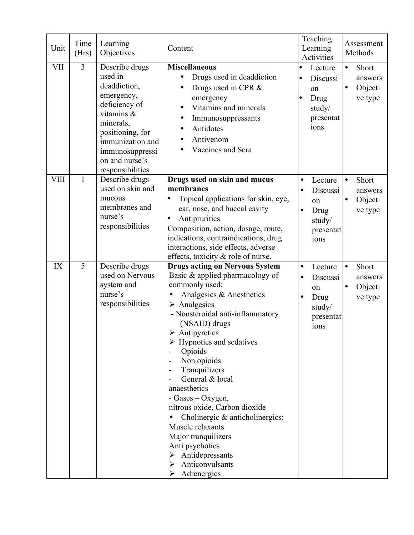| Unit        | Time<br>(Hrs)  | Learning<br>Objectives                                                                                                                                                                               | Content                                                                                                                                                                                                                                                                                                                                                                                                                                                                                                                                                                                                    | Teaching<br>Learning<br><b>Activities</b>                                                               | Assessment<br>Methods                                            |
|-------------|----------------|------------------------------------------------------------------------------------------------------------------------------------------------------------------------------------------------------|------------------------------------------------------------------------------------------------------------------------------------------------------------------------------------------------------------------------------------------------------------------------------------------------------------------------------------------------------------------------------------------------------------------------------------------------------------------------------------------------------------------------------------------------------------------------------------------------------------|---------------------------------------------------------------------------------------------------------|------------------------------------------------------------------|
| <b>VII</b>  | $\overline{3}$ | Describe drugs<br>used in<br>deaddiction,<br>emergency,<br>deficiency of<br>vitamins &<br>minerals,<br>positioning, for<br>immunization and<br>immunosuppressi<br>on and nurse's<br>responsibilities | <b>Miscellaneous</b><br>Drugs used in deaddiction<br>Drugs used in CPR &<br>$\bullet$<br>emergency<br>Vitamins and minerals<br>$\bullet$<br>Immunosuppressants<br>$\bullet$<br>Antidotes<br>Antivenom<br>Vaccines and Sera                                                                                                                                                                                                                                                                                                                                                                                 | Lecture<br>Discussi<br>on<br>Drug<br>study/<br>presentat<br>ions                                        | Short<br>$\bullet$<br>answers<br>Objecti<br>$\bullet$<br>ve type |
| <b>VIII</b> | 1              | Describe drugs<br>used on skin and<br>mucous<br>membranes and<br>nurse's<br>responsibilities                                                                                                         | Drugs used on skin and mucus<br>membranes<br>Topical applications for skin, eye,<br>ear, nose, and buccal cavity<br>Antipruritics<br>Composition, action, dosage, route,<br>indications, contraindications, drug<br>interactions, side effects, adverse<br>effects, toxicity $\&$ role of nurse.                                                                                                                                                                                                                                                                                                           | Lecture<br>$\bullet$<br>Discussi<br>$\bullet$<br>on<br>Drug<br>$\bullet$<br>study/<br>presentat<br>ions | Short<br>$\bullet$<br>answers<br>Objecti<br>$\bullet$<br>ve type |
| IX          | 5              | Describe drugs<br>used on Nervous<br>system and<br>nurse's<br>responsibilities                                                                                                                       | <b>Drugs acting on Nervous System</b><br>Basic & applied pharmacology of<br>commonly used:<br>Analgesics & Anesthetics<br>$\triangleright$ Analgesics<br>- Nonsteroidal anti-inflammatory<br>(NSAID) drugs<br>$\triangleright$ Antipyretics<br>$\triangleright$ Hypnotics and sedatives<br>Opioids<br>Non opioids<br>Tranquilizers<br>General & local<br>anaesthetics<br>- Gases – Oxygen,<br>nitrous oxide, Carbon dioxide<br>Cholinergic $\&$ anticholinergics:<br>Muscle relaxants<br>Major tranquilizers<br>Anti psychotics<br>$\triangleright$ Antidepressants<br>Anticonvulsants<br>➤<br>Adrenergics | Lecture<br>$\bullet$<br>Discussi<br>$\bullet$<br>on<br>Drug<br>$\bullet$<br>study/<br>presentat<br>ions | Short<br>$\bullet$<br>answers<br>Objecti<br>ve type              |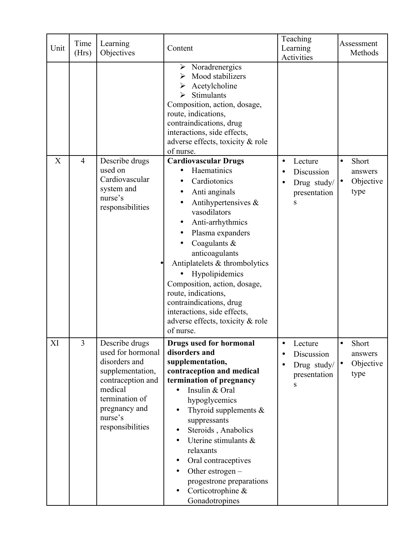| Unit | Time<br>(Hrs)  | Learning<br>Objectives                                                                                                                                                     | Content                                                                                                                                                                                                                                                                                                                                                                                                                           | Teaching<br>Learning<br>Activities                                                                       | Assessment<br>Methods                                    |
|------|----------------|----------------------------------------------------------------------------------------------------------------------------------------------------------------------------|-----------------------------------------------------------------------------------------------------------------------------------------------------------------------------------------------------------------------------------------------------------------------------------------------------------------------------------------------------------------------------------------------------------------------------------|----------------------------------------------------------------------------------------------------------|----------------------------------------------------------|
|      |                |                                                                                                                                                                            | $\triangleright$ Noradrenergics<br>Mood stabilizers<br>≻<br>Acetylcholine<br>Stimulants<br>⋗<br>Composition, action, dosage,<br>route, indications,<br>contraindications, drug<br>interactions, side effects,<br>adverse effects, toxicity & role<br>of nurse.                                                                                                                                                                    |                                                                                                          |                                                          |
| X    | $\overline{4}$ | Describe drugs<br>used on<br>Cardiovascular<br>system and<br>nurse's<br>responsibilities                                                                                   | <b>Cardiovascular Drugs</b><br>Haematinics<br>Cardiotonics<br>Anti anginals<br>Antihypertensives $\&$<br>vasodilators<br>Anti-arrhythmics<br>$\bullet$<br>Plasma expanders<br>Coagulants &<br>anticoagulants<br>Antiplatelets & thrombolytics<br>Hypolipidemics<br>Composition, action, dosage,<br>route, indications,<br>contraindications, drug<br>interactions, side effects,<br>adverse effects, toxicity & role<br>of nurse. | Lecture<br>$\bullet$<br>Discussion<br>$\bullet$<br>Drug study/<br>$\bullet$<br>presentation<br>${\bf S}$ | Short<br>$\bullet$<br>answers<br>Objective<br> ●<br>type |
| XI   | $\overline{3}$ | Describe drugs<br>used for hormonal<br>disorders and<br>supplementation,<br>contraception and<br>medical<br>termination of<br>pregnancy and<br>nurse's<br>responsibilities | <b>Drugs used for hormonal</b><br>disorders and<br>supplementation,<br>contraception and medical<br>termination of pregnancy<br>Insulin & Oral<br>hypoglycemics<br>Thyroid supplements $\&$<br>$\bullet$<br>suppressants<br>Steroids, Anabolics<br>Uterine stimulants $\&$<br>relaxants<br>Oral contraceptives<br>$\bullet$<br>Other estrogen $-$<br>progestrone preparations<br>Corticotrophine &<br>Gonadotropines              | Lecture<br>$\bullet$<br>Discussion<br>$\bullet$<br>Drug study/<br>$\bullet$<br>presentation<br>S         | Short<br>$\bullet$<br>answers<br>Objective<br> ●<br>type |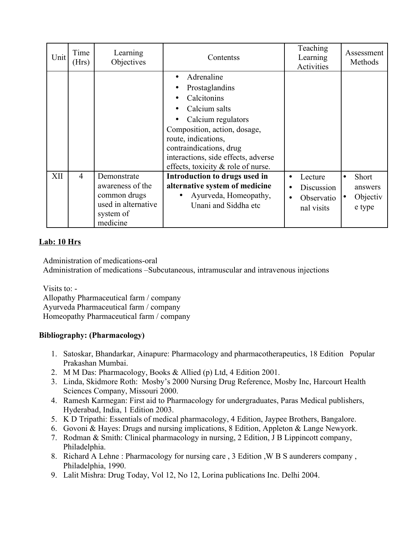| Unit | Time<br>(Hrs)  | Learning<br>Objectives                                                                          | Contentss                                                                                                                                                                                                                                                         | Teaching<br>Learning<br>Activities                             | Assessment<br>Methods                                                   |
|------|----------------|-------------------------------------------------------------------------------------------------|-------------------------------------------------------------------------------------------------------------------------------------------------------------------------------------------------------------------------------------------------------------------|----------------------------------------------------------------|-------------------------------------------------------------------------|
|      |                |                                                                                                 | Adrenaline<br>$\bullet$<br>Prostaglandins<br>Calcitonins<br>Calcium salts<br>Calcium regulators<br>Composition, action, dosage,<br>route, indications,<br>contraindications, drug<br>interactions, side effects, adverse<br>effects, toxicity $\&$ role of nurse. |                                                                |                                                                         |
| XII  | $\overline{4}$ | Demonstrate<br>awareness of the<br>common drugs<br>used in alternative<br>system of<br>medicine | Introduction to drugs used in<br>alternative system of medicine<br>Ayurveda, Homeopathy,<br>$\bullet$<br>Unani and Siddha etc                                                                                                                                     | Lecture<br>$\bullet$<br>Discussion<br>Observatio<br>nal visits | <b>Short</b><br>$\bullet$<br>answers<br>Objectiv<br>$\bullet$<br>e type |

### **Lab: 10 Hrs**

Administration of medications-oral

Administration of medications –Subcutaneous, intramuscular and intravenous injections

Visits to: -

 Allopathy Pharmaceutical farm / company Ayurveda Pharmaceutical farm / company Homeopathy Pharmaceutical farm / company

### **Bibliography: (Pharmacology)**

- 1. Satoskar, Bhandarkar, Ainapure: Pharmacology and pharmacotherapeutics, 18 Edition Popular Prakashan Mumbai.
- 2. M M Das: Pharmacology, Books & Allied (p) Ltd, 4 Edition 2001.
- 3. Linda, Skidmore Roth: Mosby's 2000 Nursing Drug Reference, Mosby Inc, Harcourt Health Sciences Company, Missouri 2000.
- 4. Ramesh Karmegan: First aid to Pharmacology for undergraduates, Paras Medical publishers, Hyderabad, India, 1 Edition 2003.
- 5. K D Tripathi: Essentials of medical pharmacology, 4 Edition, Jaypee Brothers, Bangalore.
- 6. Govoni & Hayes: Drugs and nursing implications, 8 Edition, Appleton & Lange Newyork.
- 7. Rodman & Smith: Clinical pharmacology in nursing, 2 Edition, J B Lippincott company, Philadelphia.
- 8. Richard A Lehne : Pharmacology for nursing care , 3 Edition ,W B S aunderers company , Philadelphia, 1990.
- 9. Lalit Mishra: Drug Today, Vol 12, No 12, Lorina publications Inc. Delhi 2004.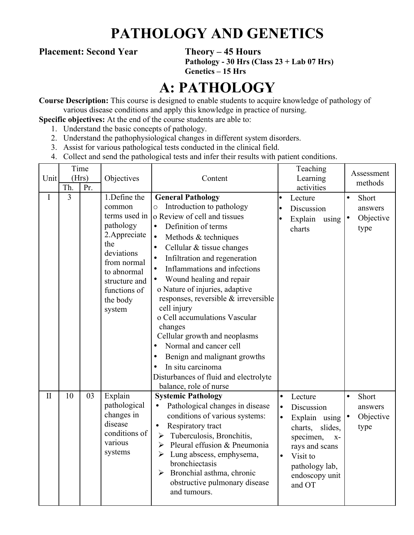## **PATHOLOGY AND GENETICS**

### **Placement: Second Year Theory – 45 Hours**

**Pathology - 30 Hrs (Class 23 + Lab 07 Hrs) Genetics – 15 Hrs**

## **A: PATHOLOGY**

**Course Description:** This course is designed to enable students to acquire knowledge of pathology of various disease conditions and apply this knowledge in practice of nursing.

**Specific objectives:** At the end of the course students are able to:

- 1. Understand the basic concepts of pathology.
- 2. Understand the pathophysiological changes in different system disorders.
- 3. Assist for various pathological tests conducted in the clinical field.
- 4. Collect and send the pathological tests and infer their results with patient conditions.

|              | Time<br>(Hrs)  |     |                                                                                                                                                                                 |                                                                                                                                                                                                                                                                                                                                                                                                                                                                                                                                                                                                                                                                                                     |                                                  | Teaching                                                                                                                                                                   |           | Assessment                            |  |
|--------------|----------------|-----|---------------------------------------------------------------------------------------------------------------------------------------------------------------------------------|-----------------------------------------------------------------------------------------------------------------------------------------------------------------------------------------------------------------------------------------------------------------------------------------------------------------------------------------------------------------------------------------------------------------------------------------------------------------------------------------------------------------------------------------------------------------------------------------------------------------------------------------------------------------------------------------------------|--------------------------------------------------|----------------------------------------------------------------------------------------------------------------------------------------------------------------------------|-----------|---------------------------------------|--|
| Unit         | Th.            | Pr. | Objectives                                                                                                                                                                      | Content                                                                                                                                                                                                                                                                                                                                                                                                                                                                                                                                                                                                                                                                                             |                                                  | Learning<br>activities                                                                                                                                                     |           | methods                               |  |
| I            | $\overline{3}$ |     | 1.Define the<br>common<br>terms used in<br>pathology<br>2. Appreciate<br>the<br>deviations<br>from normal<br>to abnormal<br>structure and<br>functions of<br>the body<br>system | <b>General Pathology</b><br>Introduction to pathology<br>O<br>o Review of cell and tissues<br>Definition of terms<br>$\bullet$<br>Methods & techniques<br>$\bullet$<br>Cellular & tissue changes<br>$\bullet$<br>Infiltration and regeneration<br>$\bullet$<br>Inflammations and infections<br>$\bullet$<br>Wound healing and repair<br>$\bullet$<br>o Nature of injuries, adaptive<br>responses, reversible & irreversible<br>cell injury<br>o Cell accumulations Vascular<br>changes<br>Cellular growth and neoplasms<br>Normal and cancer cell<br>Benign and malignant growths<br>$\bullet$<br>In situ carcinoma<br>$\bullet$<br>Disturbances of fluid and electrolyte<br>balance, role of nurse | $\bullet$<br>le                                  | Lecture<br>Discussion<br>Explain<br>using $  \bullet$<br>charts                                                                                                            | $\bullet$ | Short<br>answers<br>Objective<br>type |  |
| $\mathbf{I}$ | 10             | 03  | Explain<br>pathological<br>changes in<br>disease<br>conditions of<br>various<br>systems                                                                                         | <b>Systemic Pathology</b><br>Pathological changes in disease<br>conditions of various systems:<br>Respiratory tract<br>$\bullet$<br>Tuberculosis, Bronchitis,<br>$\blacktriangleright$<br>Pleural effusion & Pneumonia<br>$\blacktriangleright$<br>Lung abscess, emphysema,<br>$\blacktriangleright$<br>bronchiectasis<br>Bronchial asthma, chronic<br>$\blacktriangleright$<br>obstructive pulmonary disease<br>and tumours.                                                                                                                                                                                                                                                                       | $\bullet$<br>$\bullet$<br>$\bullet$<br>$\bullet$ | Lecture<br>Discussion<br>Explain using $ \bullet $<br>slides,<br>charts,<br>specimen,<br>$X -$<br>rays and scans<br>Visit to<br>pathology lab,<br>endoscopy unit<br>and OT | $\bullet$ | Short<br>answers<br>Objective<br>type |  |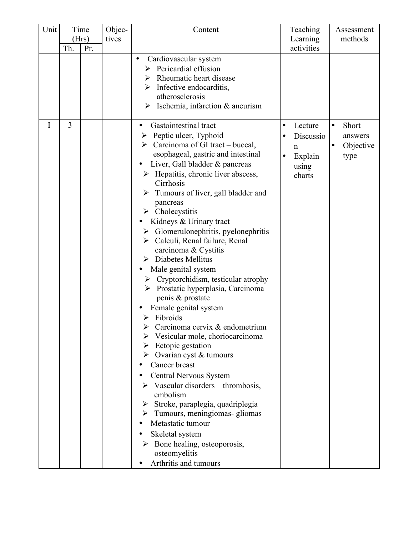| Unit | Time<br>(Hrs)<br>Pr.<br>Th. |  | Objec-<br>tives | Content                                                                                                                                                                                                                                                                                                                                                                                                                                                                                                                                                                                                                                                                                                                                                                                                                                                                                                                                                                                                                                                                                                                                                               | Teaching<br>Learning<br>activities                                                           | Assessment<br>methods                                           |
|------|-----------------------------|--|-----------------|-----------------------------------------------------------------------------------------------------------------------------------------------------------------------------------------------------------------------------------------------------------------------------------------------------------------------------------------------------------------------------------------------------------------------------------------------------------------------------------------------------------------------------------------------------------------------------------------------------------------------------------------------------------------------------------------------------------------------------------------------------------------------------------------------------------------------------------------------------------------------------------------------------------------------------------------------------------------------------------------------------------------------------------------------------------------------------------------------------------------------------------------------------------------------|----------------------------------------------------------------------------------------------|-----------------------------------------------------------------|
|      |                             |  |                 | Cardiovascular system<br>$\bullet$<br>Pericardial effusion<br>➤<br>Rheumatic heart disease<br>➤<br>Infective endocarditis,<br>atherosclerosis<br>Ischemia, infarction & aneurism<br>➤                                                                                                                                                                                                                                                                                                                                                                                                                                                                                                                                                                                                                                                                                                                                                                                                                                                                                                                                                                                 |                                                                                              |                                                                 |
| I    | $\overline{3}$              |  |                 | Gastointestinal tract<br>Peptic ulcer, Typhoid<br>➤<br>$\triangleright$ Carcinoma of GI tract – buccal,<br>esophageal, gastric and intestinal<br>Liver, Gall bladder & pancreas<br>$\triangleright$ Hepatitis, chronic liver abscess,<br>Cirrhosis<br>Tumours of liver, gall bladder and<br>pancreas<br>$\triangleright$ Cholecystitis<br>Kidneys & Urinary tract<br>$\triangleright$ Glomerulonephritis, pyelonephritis<br>> Calculi, Renal failure, Renal<br>carcinoma & Cystitis<br>$\triangleright$ Diabetes Mellitus<br>Male genital system<br>Cryptorchidism, testicular atrophy<br>➤<br>Prostatic hyperplasia, Carcinoma<br>➤<br>penis & prostate<br>Female genital system<br>$\triangleright$ Fibroids<br>Carcinoma cervix & endometrium<br>Vesicular mole, choriocarcinoma<br>Ectopic gestation<br>$\triangleright$ Ovarian cyst & tumours<br>Cancer breast<br>Central Nervous System<br>$\triangleright$ Vascular disorders – thrombosis,<br>embolism<br>Stroke, paraplegia, quadriplegia<br>$\triangleright$ Tumours, meningiomas-gliomas<br>Metastatic tumour<br>Skeletal system<br>Bone healing, osteoporosis,<br>osteomyelitis<br>Arthritis and tumours | Lecture<br>$\bullet$<br>Discussio<br>$\mathsf{n}$<br>Explain<br>$\bullet$<br>using<br>charts | Short<br>$\bullet$<br>answers<br>Objective<br>$\bullet$<br>type |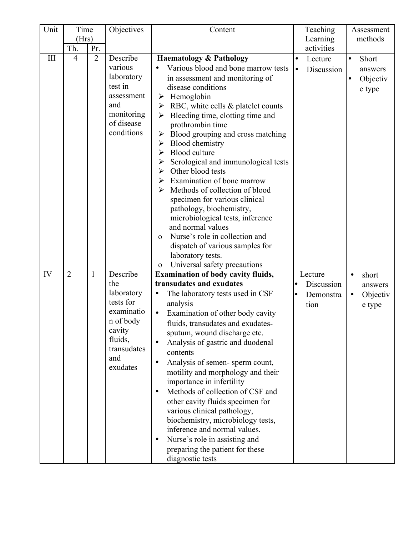| Unit | Time           |                | Objectives                                                                                                                   | Content                                                                                                                                                                                                                                                                                                                                                                                                                                                                                                                                                                                                                                                                                                                                                                                                                                 |                  | Teaching                                   | Assessment<br>methods                                            |
|------|----------------|----------------|------------------------------------------------------------------------------------------------------------------------------|-----------------------------------------------------------------------------------------------------------------------------------------------------------------------------------------------------------------------------------------------------------------------------------------------------------------------------------------------------------------------------------------------------------------------------------------------------------------------------------------------------------------------------------------------------------------------------------------------------------------------------------------------------------------------------------------------------------------------------------------------------------------------------------------------------------------------------------------|------------------|--------------------------------------------|------------------------------------------------------------------|
|      | (Hrs)<br>Th.   | Pr.            |                                                                                                                              |                                                                                                                                                                                                                                                                                                                                                                                                                                                                                                                                                                                                                                                                                                                                                                                                                                         |                  | Learning<br>activities                     |                                                                  |
| III  | $\overline{4}$ | $\overline{2}$ | Describe<br>various<br>laboratory<br>test in<br>assessment<br>and<br>monitoring<br>of disease<br>conditions                  | <b>Haematology &amp; Pathology</b><br>Various blood and bone marrow tests<br>in assessment and monitoring of<br>disease conditions<br>$\triangleright$ Hemoglobin<br>$\triangleright$ RBC, white cells & platelet counts<br>Bleeding time, clotting time and<br>$\blacktriangleright$<br>prothrombin time<br>Blood grouping and cross matching<br>➤<br>Blood chemistry<br>➤<br>Blood culture<br>$\blacktriangleright$<br>Serological and immunological tests<br>Other blood tests<br>≻<br>Examination of bone marrow<br>➤<br>Methods of collection of blood<br>specimen for various clinical<br>pathology, biochemistry,<br>microbiological tests, inference<br>and normal values<br>Nurse's role in collection and<br>$\Omega$<br>dispatch of various samples for<br>laboratory tests.<br>Universal safety precautions<br>$\mathbf{O}$ | $\bullet$<br>l e | Lecture<br>Discussion                      | Short<br>$\bullet$<br>answers<br>Objectiv<br>$\bullet$<br>e type |
| IV   | $\overline{2}$ | $\mathbf{1}$   | Describe<br>the<br>laboratory<br>tests for<br>examinatio<br>n of body<br>cavity<br>fluids,<br>transudates<br>and<br>exudates | <b>Examination of body cavity fluids,</b><br>transudates and exudates<br>The laboratory tests used in CSF<br>analysis<br>Examination of other body cavity<br>$\bullet$<br>fluids, transudates and exudates-<br>sputum, wound discharge etc.<br>Analysis of gastric and duodenal<br>contents<br>Analysis of semen-sperm count,<br>motility and morphology and their<br>importance in infertility<br>Methods of collection of CSF and<br>other cavity fluids specimen for<br>various clinical pathology,<br>biochemistry, microbiology tests,<br>inference and normal values.<br>Nurse's role in assisting and<br>preparing the patient for these<br>diagnostic tests                                                                                                                                                                     | lo<br>lo         | Lecture<br>Discussion<br>Demonstra<br>tion | short<br>answers<br>Objectiv<br>$\bullet$<br>e type              |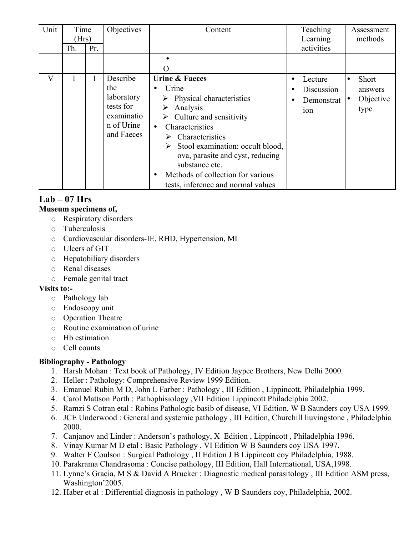| Unit                    | Time  |     | Objectives | Content                                            | Teaching        | Assessment<br>methods |
|-------------------------|-------|-----|------------|----------------------------------------------------|-----------------|-----------------------|
|                         | (Hrs) |     |            |                                                    | Learning        |                       |
|                         | Th.   | Pr. |            |                                                    | activities      |                       |
|                         |       |     |            |                                                    |                 |                       |
|                         |       |     |            | $\left( \right)$                                   |                 |                       |
| $\overline{\mathsf{V}}$ |       |     | Describe   | <b>Urine &amp; Faeces</b>                          | Lecture         | Short<br>$\bullet$    |
|                         |       |     | the        | Urine<br>$\bullet$                                 | Discussion      | answers               |
|                         |       |     | laboratory | Physical characteristics                           | Demonstrat      | Objective             |
|                         |       |     | tests for  | Analysis                                           | 10 <sub>n</sub> | type                  |
|                         |       |     | examinatio | $\triangleright$ Culture and sensitivity           |                 |                       |
|                         |       |     | n of Urine | Characteristics<br>$\bullet$                       |                 |                       |
|                         |       |     | and Faeces | Characteristics<br>➤                               |                 |                       |
|                         |       |     |            | Stool examination: occult blood,                   |                 |                       |
|                         |       |     |            | ova, parasite and cyst, reducing<br>substance etc. |                 |                       |
|                         |       |     |            | Methods of collection for various<br>$\bullet$     |                 |                       |
|                         |       |     |            | tests, inference and normal values                 |                 |                       |

### **Lab – 07 Hrs Museum specimens of,**

- o Respiratory disorders
- o Tuberculosis
- o Cardiovascular disorders-IE, RHD, Hypertension, MI
- o Ulcers of GIT
- o Hepatobiliary disorders
- o Renal diseases
- o Female genital tract

### **Visits to:-**

- o Pathology lab
- o Endoscopy unit
- o Operation Theatre
- o Routine examination of urine
- o Hb estimation
- o Cell counts

### **Bibliography - Pathology**

- 1. Harsh Mohan : Text book of Pathology, IV Edition Jaypee Brothers, New Delhi 2000.
- 2. Heller : Pathology: Comprehensive Review 1999 Edition.
- 3. Emanuel Rubin M D, John L Farber : Pathology , III Edition , Lippincott, Philadelphia 1999.
- 4. Carol Mattson Porth : Pathophisiology ,VII Edition Lippincott Philadelphia 2002.
- 5. Ramzi S Cotran etal : Robins Pathologic basib of disease, VI Edition, W B Saunders coy USA 1999.
- 6. JCE Underwood : General and systemic pathology , III Edition, Churchill liuvingstone , Philadelphia 2000.
- 7. Canjanov and Linder : Anderson's pathology, X Edition , Lippincott , Philadelphia 1996.
- 8. Vinay Kumar M D etal : Basic Pathology , VI Edition W B Saunders coy USA 1997.
- 9. Walter F Coulson : Surgical Pathology , II Edition J B Lippincott coy Philadelphia, 1988.
- 10. Parakrama Chandrasoma : Concise pathology, III Edition, Hall International, USA,1998.
- 11. Lynne's Gracia, M S & David A Brucker : Diagnostic medical parasitology , III Edition ASM press, Washington'2005.
- 12. Haber et al : Differential diagnosis in pathology , W B Saunders coy, Philadelphia, 2002.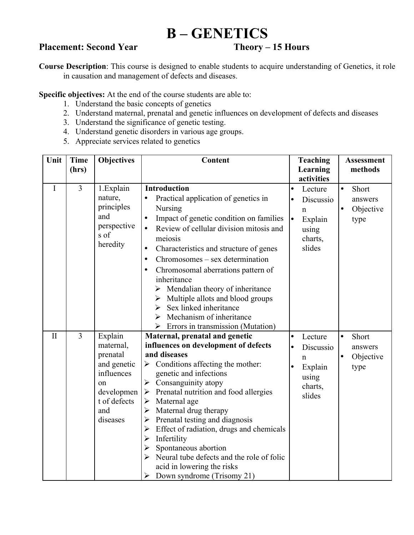## **B – GENETICS**

### **Placement: Second Year Theory – 15 Hours**

**Course Description**: This course is designed to enable students to acquire understanding of Genetics, it role in causation and management of defects and diseases.

**Specific objectives:** At the end of the course students are able to:

- 1. Understand the basic concepts of genetics
- 2. Understand maternal, prenatal and genetic influences on development of defects and diseases
- 3. Understand the significance of genetic testing.
- 4. Understand genetic disorders in various age groups.
- 5. Appreciate services related to genetics

| Unit         | <b>Time</b>    | <b>Objectives</b>     | <b>Content</b>                                                     | <b>Teaching</b>                  | <b>Assessment</b>      |
|--------------|----------------|-----------------------|--------------------------------------------------------------------|----------------------------------|------------------------|
|              | (hrs)          |                       |                                                                    | Learning                         | methods                |
|              |                |                       |                                                                    | activities                       |                        |
| $\mathbf I$  | $\overline{3}$ | 1.Explain             | <b>Introduction</b>                                                | Lecture<br>$\bullet$             | Short<br>$\bullet$     |
|              |                | nature,               | Practical application of genetics in                               | Discussio                        | answers                |
|              |                | principles            | Nursing                                                            | $\mathbf n$                      | Objective<br>$\bullet$ |
|              |                | and                   | Impact of genetic condition on families<br>$\bullet$               | $\vert \bullet \vert$<br>Explain | type                   |
|              |                | perspective<br>s of   | Review of cellular division mitosis and<br>$\bullet$               | using                            |                        |
|              |                | heredity              | meiosis                                                            | charts,                          |                        |
|              |                |                       | Characteristics and structure of genes<br>$\bullet$                | slides                           |                        |
|              |                |                       | Chromosomes – sex determination<br>$\bullet$                       |                                  |                        |
|              |                |                       | Chromosomal aberrations pattern of<br>$\bullet$                    |                                  |                        |
|              |                |                       | inheritance                                                        |                                  |                        |
|              |                |                       | $\triangleright$ Mendalian theory of inheritance                   |                                  |                        |
|              |                |                       | Multiple allots and blood groups<br>➤                              |                                  |                        |
|              |                |                       | Sex linked inheritance<br>➤                                        |                                  |                        |
|              |                |                       | Mechanism of inheritance<br>➤                                      |                                  |                        |
| $\mathbf{I}$ | $\overline{3}$ |                       | Errors in transmission (Mutation)<br>➤                             |                                  |                        |
|              |                | Explain               | Maternal, prenatal and genetic                                     | Lecture                          | Short<br>$\bullet$     |
|              |                | maternal,<br>prenatal | influences on development of defects<br>and diseases               | Discussio                        | answers                |
|              |                | and genetic           | Conditions affecting the mother:<br>$\blacktriangleright$          | $\mathbf n$                      | Objective<br>$\bullet$ |
|              |                | influences            | genetic and infections                                             | Explain                          | type                   |
|              |                | on                    | Consanguinity atopy<br>≻                                           | using                            |                        |
|              |                | developmen            | Prenatal nutrition and food allergies<br>$\blacktriangleright$     | charts,                          |                        |
|              |                | t of defects          | Maternal age<br>$\blacktriangleright$                              | slides                           |                        |
|              |                | and                   | Maternal drug therapy<br>≻                                         |                                  |                        |
|              |                | diseases              | Prenatal testing and diagnosis<br>≻                                |                                  |                        |
|              |                |                       | Effect of radiation, drugs and chemicals<br>≻                      |                                  |                        |
|              |                |                       | Infertility<br>➤                                                   |                                  |                        |
|              |                |                       | Spontaneous abortion<br>$\blacktriangleright$                      |                                  |                        |
|              |                |                       | Neural tube defects and the role of folic<br>$\blacktriangleright$ |                                  |                        |
|              |                |                       | acid in lowering the risks                                         |                                  |                        |
|              |                |                       | Down syndrome (Trisomy 21)<br>➤                                    |                                  |                        |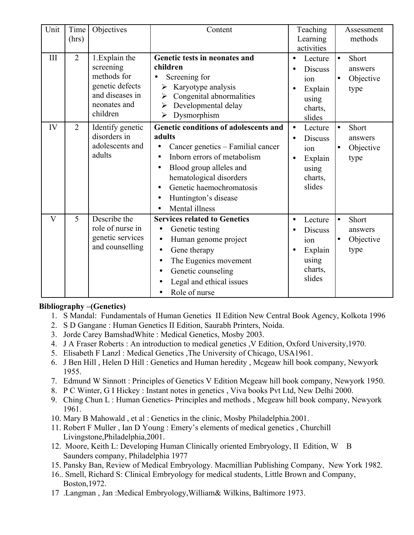| Unit         | Time<br>(hrs)  | Objectives                                                                                                   | Content                                                                                                                                                                                                                                                                                             | Teaching<br>Learning<br>activities                                                                               | Assessment<br>methods                                           |
|--------------|----------------|--------------------------------------------------------------------------------------------------------------|-----------------------------------------------------------------------------------------------------------------------------------------------------------------------------------------------------------------------------------------------------------------------------------------------------|------------------------------------------------------------------------------------------------------------------|-----------------------------------------------------------------|
| III          | $\overline{2}$ | 1. Explain the<br>screening<br>methods for<br>genetic defects<br>and diseases in<br>neonates and<br>children | Genetic tests in neonates and<br>children<br>Screening for<br>Karyotype analysis<br>➤<br>Congenital abnormalities<br>➤<br>Developmental delay<br>$\blacktriangleright$<br>Dysmorphism<br>$\blacktriangleright$                                                                                      | Lecture<br>$\bullet$<br><b>Discuss</b><br>$\bullet$<br>ion<br>Explain<br>using<br>charts,<br>slides              | Short<br>$\bullet$<br>answers<br>Objective<br>$\bullet$<br>type |
| IV           | $\overline{2}$ | Identify genetic<br>disorders in<br>adolescents and<br>adults                                                | Genetic conditions of adolescents and<br>adults<br>Cancer genetics - Familial cancer<br>Inborn errors of metabolism<br>$\bullet$<br>Blood group alleles and<br>$\bullet$<br>hematological disorders<br>Genetic haemochromatosis<br>Huntington's disease<br>$\bullet$<br>Mental illness<br>$\bullet$ | Lecture<br>$\bullet$<br><b>Discuss</b><br>$\bullet$<br>ion<br>Explain<br>$\bullet$<br>using<br>charts,<br>slides | Short<br>$\bullet$<br>answers<br>Objective<br>$\bullet$<br>type |
| $\mathbf{V}$ | 5              | Describe the<br>role of nurse in<br>genetic services<br>and counselling                                      | <b>Services related to Genetics</b><br>Genetic testing<br>Human genome project<br>$\bullet$<br>Gene therapy<br>$\bullet$<br>The Eugenics movement<br>$\bullet$<br>Genetic counseling<br>$\bullet$<br>Legal and ethical issues<br>$\bullet$<br>Role of nurse                                         | Lecture<br>$\bullet$<br><b>Discuss</b><br>ion<br>Explain<br>$\bullet$<br>using<br>charts,<br>slides              | Short<br>$\bullet$<br>answers<br>Objective<br>$\bullet$<br>type |

### **Bibliography –(Genetics)**

- 1. S Mandal: Fundamentals of Human Genetics II Edition New Central Book Agency, Kolkota 1996
- 2. S D Gangane : Human Genetics II Edition, Saurabh Printers, Noida.
- 3. Jorde Carey BamshadWhite : Medical Genetics, Mosby 2003.
- 4. J A Fraser Roberts : An introduction to medical genetics ,V Edition, Oxford University,1970.
- 5. Elisabeth F Lanzl : Medical Genetics ,The University of Chicago, USA1961.
- 6. J Ben Hill , Helen D Hill : Genetics and Human heredity , Mcgeaw hill book company, Newyork 1955.
- 7. Edmund W Sinnott : Principles of Genetics V Edition Mcgeaw hill book company, Newyork 1950.
- 8. P C Winter, G I Hickey : Instant notes in genetics , Viva books Pvt Ltd, New Delhi 2000.
- 9. Ching Chun L : Human Genetics- Principles and methods , Mcgeaw hill book company, Newyork 1961.
- 10. Mary B Mahowald , et al : Genetics in the clinic, Mosby Philadelphia.2001.
- 11. Robert F Muller , Ian D Young : Emery's elements of medical genetics , Churchill Livingstone,Philadelphia,2001.
- 12. Moore, Keith L: Developing Human Clinically oriented Embryology, II Edition, W B Saunders company, Philadelphia 1977
- 15. Pansky Ban, Review of Medical Embryology. Macmillian Publishing Company, New York 1982.
- 16.. Smell, Richard S: Clinical Embryology for medical students, Little Brown and Company, Boston,1972.
- 17 .Langman , Jan :Medical Embryology,William& Wilkins, Baltimore 1973.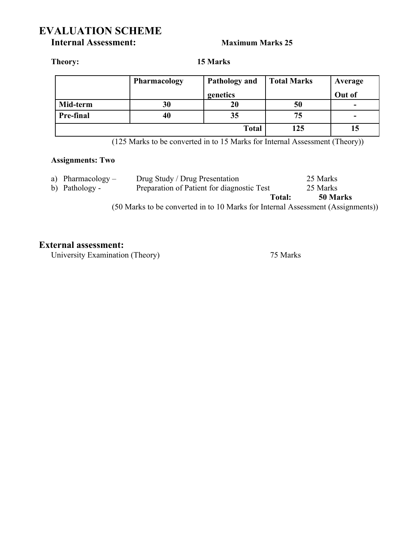## **EVALUATION SCHEME**

**Internal Assessment: Maximum Marks 25** 

**Theory: 15 Marks**

|              | <b>Pharmacology</b> | <b>Pathology and</b> | <b>Total Marks</b> | Average |
|--------------|---------------------|----------------------|--------------------|---------|
|              |                     | genetics             |                    | Out of  |
| Mid-term     | 30                  | 20                   | 50                 | -       |
| Pre-final    | 40                  | 35                   | 75                 |         |
| <b>Total</b> |                     |                      | 125                |         |

(125 Marks to be converted in to 15 Marks for Internal Assessment (Theory))

### **Assignments: Two**

|                                                                                 | a) Pharmacology $-$ | Drug Study / Drug Presentation             | 25 Marks           |
|---------------------------------------------------------------------------------|---------------------|--------------------------------------------|--------------------|
|                                                                                 | b) Pathology -      | Preparation of Patient for diagnostic Test | 25 Marks           |
|                                                                                 |                     |                                            | 50 Marks<br>Total: |
| (50 Marks to be converted in to 10 Marks for Internal Assessment (Assignments)) |                     |                                            |                    |

### **External assessment:**

University Examination (Theory) 75 Marks